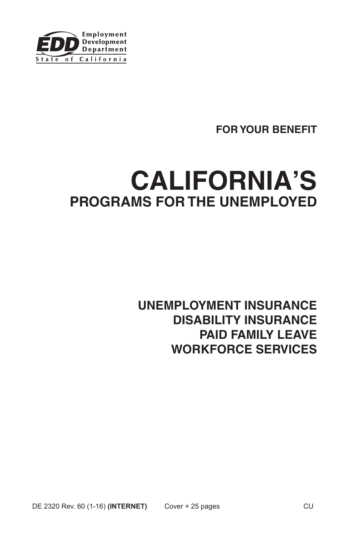

# **FOR YOUR BENEFIT**

# **CALIFORNIA'S PROGRAMS FOR THE UNEMPLOYED**

# **UNEMPLOYMENT INSURANCE DISABILITY INSURANCE PAID FAMILY LEAVE WORKFORCE SERVICES**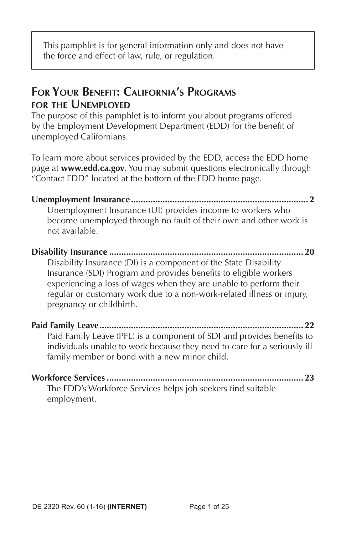This pamphlet is for general information only and does not have the force and effect of law, rule, or regulation.

# **For Your Benefit: California's Programs for the Unemployed**

The purpose of this pamphlet is to inform you about programs offered by the Employment Development Department (EDD) for the benefit of unemployed Californians.

To learn more about services provided by the EDD, access the EDD home page at **www.edd.ca.gov**. You may submit questions electronically through "Contact EDD" located at the bottom of the EDD home page.

**Unemployment Insurance......................................................................... 2** Unemployment Insurance (UI) provides income to workers who become unemployed through no fault of their own and other work is not available.

#### **Disability Insurance ................................................................................ 20** Disability Insurance (DI) is a component of the State Disability Insurance (SDI) Program and provides benefits to eligible workers experiencing a loss of wages when they are unable to perform their regular or customary work due to a non-work-related illness or injury, pregnancy or childbirth.

**Paid Family Leave.................................................................................... 22** Paid Family Leave (PFL) is a component of SDI and provides benefits to individuals unable to work because they need to care for a seriously ill family member or bond with a new minor child.

**Workforce Services ................................................................................. 23** The EDD's Workforce Services helps job seekers find suitable employment.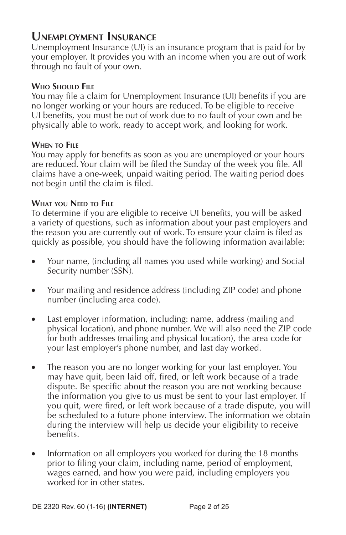### **Unemployment Insurance**

Unemployment Insurance (UI) is an insurance program that is paid for by your employer. It provides you with an income when you are out of work through no fault of your own.

#### **Who Should File**

You may file a claim for Unemployment Insurance (UI) benefits if you are no longer working or your hours are reduced. To be eligible to receive UI benefits, you must be out of work due to no fault of your own and be physically able to work, ready to accept work, and looking for work.

#### **When to File**

You may apply for benefits as soon as you are unemployed or your hours are reduced. Your claim will be filed the Sunday of the week you file. All claims have a one-week, unpaid waiting period. The waiting period does not begin until the claim is filed.

#### **What you Need to File**

To determine if you are eligible to receive UI benefits, you will be asked a variety of questions, such as information about your past employers and the reason you are currently out of work. To ensure your claim is filed as quickly as possible, you should have the following information available:

- Your name, (including all names you used while working) and Social Security number (SSN).
- Your mailing and residence address (including ZIP code) and phone number (including area code).
- Last employer information, including: name, address (mailing and physical location), and phone number. We will also need the ZIP code for both addresses (mailing and physical location), the area code for your last employer's phone number, and last day worked.
- The reason you are no longer working for your last employer. You may have quit, been laid off, fired, or left work because of a trade dispute. Be specific about the reason you are not working because the information you give to us must be sent to your last employer. If you quit, were fired, or left work because of a trade dispute, you will be scheduled to a future phone interview. The information we obtain during the interview will help us decide your eligibility to receive benefits.
- Information on all employers you worked for during the 18 months prior to filing your claim, including name, period of employment, wages earned, and how you were paid, including employers you worked for in other states.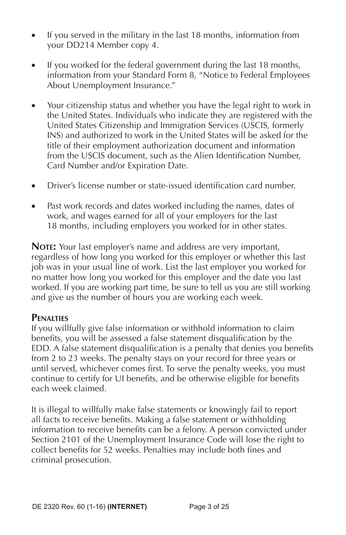- If you served in the military in the last 18 months, information from your DD214 Member copy 4.
- If you worked for the federal government during the last 18 months, information from your Standard Form 8, "Notice to Federal Employees About Unemployment Insurance."
- Your citizenship status and whether you have the legal right to work in the United States. Individuals who indicate they are registered with the United States Citizenship and Immigration Services (USCIS, formerly INS) and authorized to work in the United States will be asked for the title of their employment authorization document and information from the USCIS document, such as the Alien Identification Number, Card Number and/or Expiration Date.
- Driver's license number or state-issued identification card number.
- Past work records and dates worked including the names, dates of work, and wages earned for all of your employers for the last 18 months, including employers you worked for in other states.

**NOTE:** Your last employer's name and address are very important, regardless of how long you worked for this employer or whether this last job was in your usual line of work. List the last employer you worked for no matter how long you worked for this employer and the date you last worked. If you are working part time, be sure to tell us you are still working and give us the number of hours you are working each week.

#### **Penalties**

If you willfully give false information or withhold information to claim benefits, you will be assessed a false statement disqualification by the EDD. A false statement disqualification is a penalty that denies you benefits from 2 to 23 weeks. The penalty stays on your record for three years or until served, whichever comes first. To serve the penalty weeks, you must continue to certify for UI benefits, and be otherwise eligible for benefits each week claimed.

It is illegal to willfully make false statements or knowingly fail to report all facts to receive benefits. Making a false statement or withholding information to receive benefits can be a felony. A person convicted under Section 2101 of the Unemployment Insurance Code will lose the right to collect benefits for 52 weeks. Penalties may include both fines and criminal prosecution.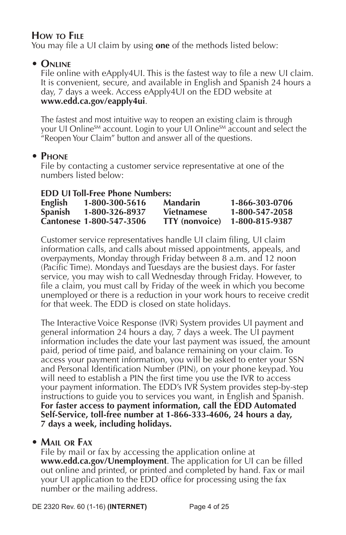### **How to File**

You may file a UI claim by using **one** of the methods listed below:

### **• Online**

File online with eApply4UI. This is the fastest way to file a new UI claim. It is convenient, secure, and available in English and Spanish 24 hours a day, 7 days a week. Access eApply4UI on the EDD website at **www.edd.ca.gov/eapply4ui**.

The fastest and most intuitive way to reopen an existing claim is through your UI Online<sup>SM</sup> account. Login to your UI Online<sup>SM</sup> account and select the "Reopen Your Claim" button and answer all of the questions.

### **• Phone**

File by contacting a customer service representative at one of the numbers listed below:

#### **EDD UI Toll-Free Phone Numbers:**

| English        | 1-800-300-5616           | <b>Mandarin</b>       | 1-866-303-0706 |
|----------------|--------------------------|-----------------------|----------------|
| <b>Spanish</b> | 1-800-326-8937           | <b>Vietnamese</b>     | 1-800-547-2058 |
|                | Cantonese 1-800-547-3506 | <b>TTY</b> (nonvoice) | 1-800-815-9387 |

Customer service representatives handle UI claim filing, UI claim information calls, and calls about missed appointments, appeals, and overpayments, Monday through Friday between 8 a.m. and 12 noon (Pacific Time). Mondays and Tuesdays are the busiest days. For faster service, you may wish to call Wednesday through Friday. However, to file a claim, you must call by Friday of the week in which you become unemployed or there is a reduction in your work hours to receive credit for that week. The EDD is closed on state holidays.

The Interactive Voice Response (IVR) System provides UI payment and general information 24 hours a day, 7 days a week. The UI payment information includes the date your last payment was issued, the amount paid, period of time paid, and balance remaining on your claim. To access your payment information, you will be asked to enter your SSN and Personal Identification Number (PIN), on your phone keypad. You will need to establish a PIN the first time you use the IVR to access your payment information. The EDD's IVR System provides step-by-step instructions to guide you to services you want, in English and Spanish. **For faster access to payment information, call the EDD Automated Self-Service, toll-free number at 1-866-333-4606, 24 hours a day, 7 days a week, including holidays.**

#### **• Mail or Fax**

File by mail or fax by accessing the application online at **www.edd.ca.gov/Unemployment**. The application for UI can be filled out online and printed, or printed and completed by hand. Fax or mail your UI application to the EDD office for processing using the fax number or the mailing address.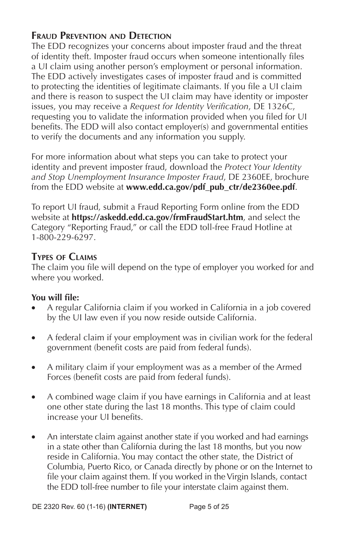### **Fraud Prevention and Detection**

The EDD recognizes your concerns about imposter fraud and the threat of identity theft. Imposter fraud occurs when someone intentionally files a UI claim using another person's employment or personal information. The EDD actively investigates cases of imposter fraud and is committed to protecting the identities of legitimate claimants. If you file a UI claim and there is reason to suspect the UI claim may have identity or imposter issues, you may receive a *Request for Identity Verification*, DE 1326C, requesting you to validate the information provided when you filed for UI benefits. The EDD will also contact employer(s) and governmental entities to verify the documents and any information you supply.

For more information about what steps you can take to protect your identity and prevent imposter fraud, download the *Protect Your Identity and Stop Unemployment Insurance Imposter Fraud*, DE 2360EE, brochure from the EDD website at **www.edd.ca.gov/pdf\_pub\_ctr/de2360ee.pdf**.

To report UI fraud, submit a Fraud Reporting Form online from the EDD website at **https://askedd.edd.ca.gov/frmFraudStart.htm**, and select the Category "Reporting Fraud," or call the EDD toll-free Fraud Hotline at 1-800-229-6297.

#### **Types of Claims**

The claim you file will depend on the type of employer you worked for and where you worked.

#### **You will file:**

- A regular California claim if you worked in California in a job covered by the UI law even if you now reside outside California.
- A federal claim if your employment was in civilian work for the federal government (benefit costs are paid from federal funds).
- A military claim if your employment was as a member of the Armed Forces (benefit costs are paid from federal funds).
- A combined wage claim if you have earnings in California and at least one other state during the last 18 months. This type of claim could increase your UI benefits.
- An interstate claim against another state if you worked and had earnings in a state other than California during the last 18 months, but you now reside in California. You may contact the other state, the District of Columbia, Puerto Rico, or Canada directly by phone or on the Internet to file your claim against them. If you worked in the Virgin Islands, contact the EDD toll-free number to file your interstate claim against them.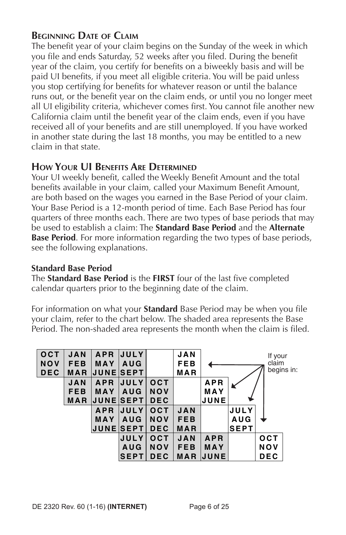### **Beginning Date of Claim**

The benefit year of your claim begins on the Sunday of the week in which you file and ends Saturday, 52 weeks after you filed. During the benefit year of the claim, you certify for benefits on a biweekly basis and will be paid UI benefits, if you meet all eligible criteria. You will be paid unless you stop certifying for benefits for whatever reason or until the balance runs out, or the benefit year on the claim ends, or until you no longer meet all UI eligibility criteria, whichever comes first. You cannot file another new California claim until the benefit year of the claim ends, even if you have received all of your benefits and are still unemployed. If you have worked in another state during the last 18 months, you may be entitled to a new claim in that state.

#### **How Your UI Benefits Are Determined**

Your UI weekly benefit, called the Weekly Benefit Amount and the total benefits available in your claim, called your Maximum Benefit Amount, are both based on the wages you earned in the Base Period of your claim. Your Base Period is a 12-month period of time. Each Base Period has four quarters of three months each. There are two types of base periods that may be used to establish a claim: The **Standard Base Period** and the **Alternate Base Period**. For more information regarding the two types of base periods, see the following explanations.

#### **Standard Base Period**

The **Standard Base Period** is the **FIRST** four of the last five completed calendar quarters prior to the beginning date of the claim.

For information on what your **Standard** Base Period may be when you file your claim, refer to the chart below. The shaded area represents the Base Period. The non-shaded area represents the month when the claim is filed.

| OCT        | <b>JAN</b> | <b>APR</b>      | <b>JULY</b>        |            | <b>JAN</b> |              |             | If your    |  |
|------------|------------|-----------------|--------------------|------------|------------|--------------|-------------|------------|--|
| <b>NOV</b> | <b>FEB</b> | <b>MAY</b>      | <b>AUG</b>         |            | FEB        |              |             | claim      |  |
| <b>DEC</b> | MAR        | <b>JUNESEPT</b> |                    |            | MAR        |              |             | begins in: |  |
|            | <b>JAN</b> | <b>APR</b>      | <b>JULY</b>        | <b>OCT</b> |            | <b>APR</b>   |             |            |  |
|            | <b>FEB</b> | <b>MAY</b>      | <b>AUG</b>         | <b>NOV</b> |            | MAY          |             |            |  |
|            | <b>MAR</b> |                 | <b>IJUNEISEPTI</b> | <b>DEC</b> |            | JUNE         |             |            |  |
|            |            | <b>APR</b>      | <b>JULY</b>        | <b>OCT</b> | <b>JAN</b> |              | <b>JULY</b> |            |  |
|            |            | <b>MAY</b>      | <b>AUG</b>         | <b>NOV</b> | <b>FEB</b> |              | <b>AUG</b>  |            |  |
|            |            |                 | JUNE SEPT          | <b>DEC</b> | MAR        |              | <b>SEPT</b> |            |  |
|            |            |                 | <b>JULY</b>        | <b>OCT</b> | <b>JAN</b> | <b>APR</b>   |             | <b>OCT</b> |  |
|            |            |                 | <b>AUG</b>         | <b>NOV</b> | <b>FEB</b> | MAY          |             | NOV        |  |
|            |            |                 | <b>SEPT</b>        | <b>DEC</b> | <b>MAR</b> | <b>IJUNE</b> |             | <b>DEC</b> |  |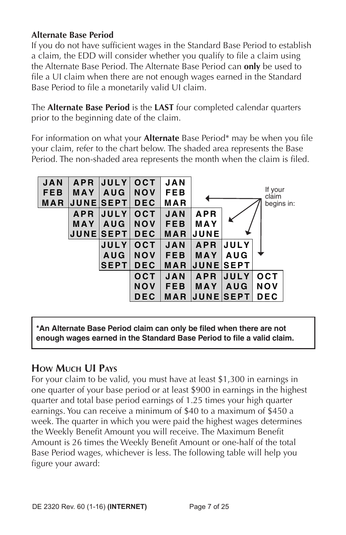#### **Alternate Base Period**

If you do not have sufficient wages in the Standard Base Period to establish a claim, the EDD will consider whether you qualify to file a claim using the Alternate Base Period. The Alternate Base Period can **only** be used to file a UI claim when there are not enough wages earned in the Standard Base Period to file a monetarily valid UI claim.

The **Alternate Base Period** is the **LAST** four completed calendar quarters prior to the beginning date of the claim.

For information on what your **Alternate** Base Period\* may be when you file your claim, refer to the chart below. The shaded area represents the Base Period. The non-shaded area represents the month when the claim is filed.



**\*An Alternate Base Period claim can only be filed when there are not enough wages earned in the Standard Base Period to file a valid claim.**

#### **How Much UI Pays**

For your claim to be valid, you must have at least \$1,300 in earnings in one quarter of your base period or at least \$900 in earnings in the highest quarter and total base period earnings of 1.25 times your high quarter earnings. You can receive a minimum of \$40 to a maximum of \$450 a week. The quarter in which you were paid the highest wages determines the Weekly Benefit Amount you will receive. The Maximum Benefit Amount is 26 times the Weekly Benefit Amount or one-half of the total Base Period wages, whichever is less. The following table will help you figure your award: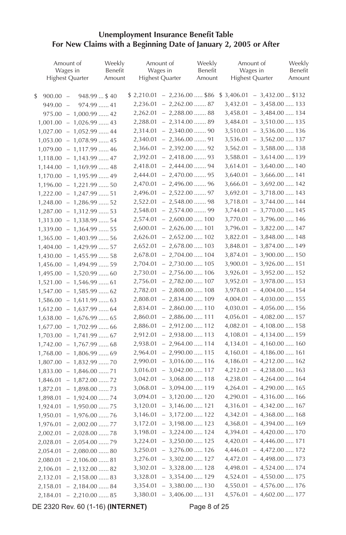#### **Unemployment Insurance Benefit Table For New Claims with a Beginning Date of January 2, 2005 or After**

| Amount of                          | Weekly            |          | Amount of                          | Weekly            | Amount of                          | Weekly            |
|------------------------------------|-------------------|----------|------------------------------------|-------------------|------------------------------------|-------------------|
| Wages in<br><b>Highest Quarter</b> | Benefit<br>Amount |          | Wages in<br><b>Highest Quarter</b> | Benefit<br>Amount | Wages in<br><b>Highest Quarter</b> | Benefit<br>Amount |
|                                    |                   |          |                                    |                   |                                    |                   |
| \$<br>$900.00 -$<br>$948.99$ \$40  |                   |          | $$2,210.01 - 2,236.00 \dots $86$   |                   | $$3,406.01 - 3,432.00  $132$       |                   |
| $949.00 -$<br>974.99  41           |                   |          | $2,236.01 - 2,262.00 \dots 87$     |                   | $3,432.01 - 3,458.00 \dots 133$    |                   |
| $975.00 - 1,000.99 \dots .42$      |                   |          | $2,262.01 - 2,288.00 \dots 88$     |                   | $3,458.01 - 3,484.00 \ldots$ 134   |                   |
| $1,001.00 - 1,026.99 \ldots$ 43    |                   |          | 2,288.01 - 2,314.00  89            |                   | $3,484.01 - 3,510.00 \dots 135$    |                   |
| $1,027.00 - 1,052.99 \ldots$ 44    |                   |          | 2,314.01 - 2,340.00  90            |                   | $3,510.01 - 3,536.00 \ldots 136$   |                   |
| $1,053.00 - 1,078.99 \ldots$ 45    |                   |          | $2,340.01 - 2,366.00 \dots 91$     |                   | $3,536.01 - 3,562.00 \ldots 137$   |                   |
| $1,079.00 - 1,117.99 \ldots$ 46    |                   |          | $2,366.01 - 2,392.00 \dots 92$     |                   | $3,562.01 - 3,588.00 \ldots$ 138   |                   |
| $1,118.00 - 1,143.99 \ldots .47$   |                   |          | $2,392.01 - 2,418.00 \dots 93$     |                   | $3,588.01 - 3,614.00 \ldots 139$   |                   |
| $1,144.00 - 1,169.99 \ldots$ 48    |                   |          | $2,418.01 - 2,444.00 \dots 94$     |                   | $3,614.01 - 3,640.00 \ldots 140$   |                   |
| $1,170.00 - 1,195.99 \ldots$ 49    |                   |          | $2,444.01 - 2,470.00 \dots 95$     |                   | $3,640.01 - 3,666.00 \ldots$ 141   |                   |
| $1,196.00 - 1,221.99 \ldots 50$    |                   |          | $2,470.01 - 2,496.00 \dots 96$     |                   | $3,666.01 - 3,692.00 \ldots 142$   |                   |
| $1,222.00 - 1,247.99 \ldots .51$   |                   |          | 2,496.01 - 2,522.00  97            |                   | $3,692.01 - 3,718.00 \dots 143$    |                   |
| $1,248.00 - 1,286.99 \dots .52$    |                   |          | $2,522.01 - 2,548.00 \dots 98$     |                   | $3,718.01 - 3,744.00 \ldots$ 144   |                   |
| $1,287.00 - 1,312.99 \ldots .53$   |                   |          | $2,548.01 - 2,574.00 \dots 99$     |                   | $3,744.01 - 3,770.00 \ldots$ 145   |                   |
| $1,313.00 - 1,338.99 \ldots .54$   |                   |          | $2,574.01 - 2,600.00 \dots 100$    |                   | $3,770.01 - 3,796.00 \ldots 146$   |                   |
| $1,339.00 - 1,364.99 \ldots 55$    |                   |          | $2,600.01 - 2,626.00 \ldots 101$   |                   | $3,796.01 - 3,822.00 \dots 147$    |                   |
| $1,365.00 - 1,403.99 \ldots .56$   |                   |          | $2,626.01 - 2,652.00 \ldots 102$   |                   | $3,822.01 - 3,848.00 \ldots$ 148   |                   |
| $1,404.00 - 1,429.99 \ldots .57$   |                   |          | $2,652.01 - 2,678.00 \dots 103$    |                   | $3,848.01 - 3,874.00 \ldots$ 149   |                   |
| $1,430.00 - 1,455.99 \ldots .58$   |                   |          | $2,678.01 - 2,704.00 \ldots 104$   |                   | $3,874.01 - 3,900.00 \dots 150$    |                   |
| $1,456.00 - 1,494.99 \ldots .59$   |                   |          | $2,704.01 - 2,730.00 \dots 105$    |                   | $3,900.01 - 3,926.00 \ldots 151$   |                   |
| $1,495.00 - 1,520.99 \dots 60$     |                   |          | $2,730.01 - 2,756.00 \ldots 106$   |                   | $3,926.01 - 3,952.00 \dots 152$    |                   |
| $1,521.00 - 1,546.99 \ldots 61$    |                   |          | $2,756.01 - 2,782.00 \ldots 107$   |                   | $3,952.01 - 3,978.00 \dots 153$    |                   |
| $1,547.00 - 1,585.99 \ldots$ 62    |                   |          | $2,782.01 - 2,808.00 \dots 108$    |                   | $3,978.01 - 4,004.00 \ldots 154$   |                   |
| $1,586.00 - 1,611.99 \ldots$ 63    |                   |          | $2,808.01 - 2,834.00 \ldots 109$   |                   | $4,004.01 - 4,030.00 \ldots$ 155   |                   |
| $1,612.00 - 1,637.99 \ldots .64$   |                   |          | $2,834.01 - 2,860.00 \dots 110$    |                   | $4,030.01 - 4,056.00 \ldots 156$   |                   |
| $1,638.00 - 1,676.99 \ldots 65$    |                   |          | $2,860.01 - 2,886.00 \dots 111$    |                   | $4,056.01 - 4,082.00 \ldots 157$   |                   |
| $1,677.00 - 1,702.99 \ldots .66$   |                   |          | 2,886.01 - 2,912.00  112           |                   | $4,082.01 - 4,108.00 \ldots 158$   |                   |
| $1,703.00 - 1,741.99 \ldots 67$    |                   |          | $2,912.01 - 2,938.00 \dots 113$    |                   | $4,108.01 - 4,134.00 \ldots 159$   |                   |
| $1,742.00 - 1,767.99 \ldots$ 68    |                   |          | 2,938.01 - 2,964.00  114           |                   | $4,134.01 - 4,160.00 \ldots 160$   |                   |
| $1,768.00 - 1,806.99 \ldots 69$    |                   |          | $2,964.01 - 2,990.00 \dots 115$    |                   | $4,160.01 - 4,186.00 \ldots 161$   |                   |
| $1,807.00 - 1,832.99 \ldots 70$    |                   |          | $2,990.01 - 3,016.00 \dots 116$    |                   | $4,186.01 - 4,212.00 \ldots 162$   |                   |
| $1,833.00 - 1,846.00 \ldots 71$    |                   |          | $3,016.01 - 3,042.00 \ldots 117$   |                   | $4,212.01 - 4,238.00 \ldots 163$   |                   |
| $1,846.01 - 1,872.00 \ldots 72$    |                   |          | $3,042.01 - 3,068.00 \ldots$ 118   |                   | $4,238.01 - 4,264.00 \ldots 164$   |                   |
| $1,872.01 - 1,898.00 \ldots .73$   |                   | 3,068.01 | $-3,094.00$ 119                    |                   | $4,264.01 - 4,290.00 \ldots 165$   |                   |
| $1,898.01 - 1,924.00 \ldots .74$   |                   | 3,094.01 | $-3,120.00$ 120                    |                   | $4,290.01 - 4,316.00 \ldots 166$   |                   |
| $1,924.01 - 1,950.00 \ldots .75$   |                   | 3,120.01 | $-3,146.00 \ldots 121$             |                   | $4,316.01 - 4,342.00 \ldots 167$   |                   |
| $-1,976.00 \ldots 76$<br>1,950.01  |                   | 3,146.01 | $-3,172.00 \ldots 122$             |                   | $4,342.01 - 4,368.00 \ldots 168$   |                   |
| $-2,002.00$ 77<br>1,976.01         |                   |          | $3,172.01 - 3,198.00 \ldots$ 123   |                   | $4,368.01 - 4,394.00 \ldots 169$   |                   |
| 2,002.01<br>$-2,028.00 \dots 78$   |                   |          | $3,198.01 - 3,224.00 \dots 124$    |                   | 4,394.01 - 4,420.00  170           |                   |
| $-2,054.00 \ldots 79$<br>2,028.01  |                   |          | 3,224.01 - 3,250.00  125           |                   | $4,420.01 - 4,446.00 \ldots 171$   |                   |
| 2,054.01<br>$-2,080.00$ 80         |                   |          | $3,250.01 - 3,276.00 \ldots 126$   |                   | $4,446.01 - 4,472.00 \ldots 172$   |                   |
| $-2,106.00$ 81<br>2,080.01         |                   |          | 3,276.01 - 3,302.00  127           |                   | $4,472.01 - 4,498.00 \ldots$ 173   |                   |
| $-2,132.00 \ldots 82$<br>2,106.01  |                   |          | $3,302.01 - 3,328.00 \dots 128$    |                   | 4,498.01 - 4,524.00  . 174         |                   |
| $-2,158.00$ 83<br>2,132.01         |                   |          | 3,328.01 - 3,354.00  129           |                   | $4,524.01 - 4,550.00 \ldots 175$   |                   |
| $-2,184.00 \ldots 84$<br>2,158.01  |                   |          | $3,354.01 - 3,380.00 \dots 130$    |                   | $4,550.01 - 4,576.00 \ldots 176$   |                   |
| 2,184.01<br>$-2,210.00$ 85         |                   |          | $3,380.01 - 3,406.00 \dots 131$    |                   | $4,576.01 - 4,602.00 \ldots 177$   |                   |
|                                    |                   |          |                                    |                   |                                    |                   |

DE 2320 Rev. 60 (1-16) **(INTERNET)** Page 8 of 25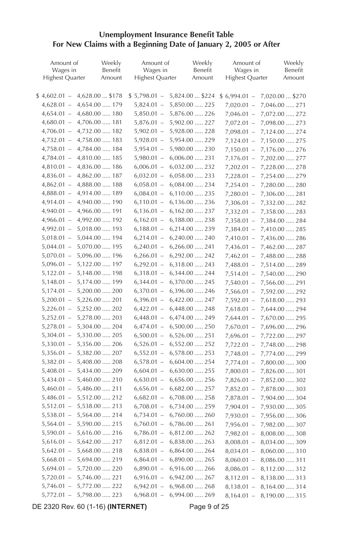#### **Unemployment Insurance Benefit Table For New Claims with a Beginning Date of January 2, 2005 or After**

| Amount of<br>Wages in  | Weekly<br>Benefit                | Amount of<br>Wages in  | Weekly<br>Benefit                | Amount of<br>Wages in | Weekly<br>Benefit                |
|------------------------|----------------------------------|------------------------|----------------------------------|-----------------------|----------------------------------|
| <b>Highest Quarter</b> | Amount                           | <b>Highest Quarter</b> | Amount                           | Highest Quarter       | Amount                           |
|                        |                                  |                        |                                  |                       |                                  |
|                        | $$4,602.01 - 4,628.00  $178$     | $$5,798.01 -$          | 5,824.00  \$224                  | $$6,994.01 -$         | 7,020.00  \$270                  |
|                        | $4,628.01 - 4,654.00 \ldots 179$ | $5,824.01 -$           | 5,850.00  225                    | $7,020.01 -$          | 7,046.00  271                    |
|                        | $4,654.01 - 4,680.00 \dots 180$  |                        | $5,850.01 - 5,876.00 \ldots 226$ | $7,046.01 -$          | 7,072.00  272                    |
|                        | $4,680.01 - 4,706.00 \dots 181$  | $5,876.01 -$           | 5,902.00  227                    | $7,072.01 -$          | 7,098.00  273                    |
|                        | $4,706.01 - 4,732.00 \ldots 182$ |                        | 5,902.01 - 5,928.00  228         | $7,098.01 -$          | 7,124.00  274                    |
|                        | $4,732.01 - 4,758.00 \ldots$ 183 |                        | $5,928.01 - 5,954.00 \dots 229$  | $7,124.01 -$          | 7,150.00  275                    |
|                        | $4,758.01 - 4,784.00 \ldots 184$ |                        | $5,954.01 - 5,980.00 \dots 230$  | $7,150.01 -$          | 7,176.00  276                    |
|                        | $4,784.01 - 4,810.00 \ldots 185$ |                        | $5,980.01 - 6,006.00 \dots 231$  | $7,176.01 -$          | 7,202.00  277                    |
|                        | $4,810.01 - 4,836.00 \ldots 186$ |                        | $6,006.01 - 6,032.00 \ldots 232$ | $7,202.01 -$          | 7,228.00  278                    |
|                        | $4,836.01 - 4,862.00 \ldots 187$ |                        | $6,032.01 - 6,058.00 \ldots$ 233 | $7,228.01 -$          | 7,254.00  279                    |
|                        | $4,862.01 - 4,888.00 \ldots 188$ |                        | $6,058.01 - 6,084.00 \ldots 234$ | $7,254.01 -$          | 7,280.00  280                    |
|                        | 4,888.01 - 4,914.00  . 189       |                        | $6,084.01 - 6,110.00 \ldots 235$ | $7,280.01 -$          | 7,306.00  281                    |
|                        | $4,914.01 - 4,940.00 \dots 190$  |                        | $6,110.01 - 6,136.00 \ldots 236$ | $7,306.01 -$          | 7,332.00  282                    |
|                        | $4,940.01 - 4,966.00 \dots 191$  |                        | $6,136.01 - 6,162.00 \ldots 237$ | $7,332.01 -$          | 7,358.00  283                    |
|                        | $4,966.01 - 4,992.00 \dots 192$  |                        | $6,162.01 - 6,188.00 \ldots 238$ | $7,358.01 -$          | 7,384.00  284                    |
| $4,992.01 -$           | 5,018.00  193                    |                        | $6,188.01 - 6,214.00 \ldots 239$ | $7,384.01 -$          | 7,410.00  285                    |
| $5,018.01 -$           | $5,044.00 \dots 194$             |                        | $6,214.01 - 6,240.00 \ldots 240$ | $7,410.01 -$          | 7,436.00  286                    |
| $5,044.01 -$           | 5,070.00  195                    | $6,240.01 -$           | $6,266.00 \ldots 241$            | $7,436.01 -$          | 7,462.00  287                    |
| $5,070.01 -$           | 5,096.00  196                    | $6,266.01 -$           | 6,292.00  242                    | $7,462.01 -$          | 7,488.00  288                    |
| $5,096.01 -$           | 5,122.00  197                    | $6,292.01 -$           | 6,318.00  243                    | $7,488.01 -$          | 7,514.00  289                    |
| $5,122.01 -$           | 5,148.00  198                    | $6,318.01 -$           | 6,344.00  244                    | $7,514.01 -$          | 7,540.00  290                    |
| $5,148.01 -$           | 5,174.00  199                    | $6,344.01 -$           | 6,370.00  245                    | $7,540.01 -$          | 7,566.00  291                    |
| $5,174.01 -$           | 5,200.00  200                    | $6,370.01 -$           | 6,396.00  246                    | $7,566.01 -$          | 7,592.00  292                    |
| $5,200.01 -$           | 5,226.00  201                    | $6,396.01 -$           | 6,422.00  247                    | $7,592.01 -$          | 7,618.00  293                    |
| $5,226.01 -$           | 5,252.00  202                    | $6,422.01 -$           | 6,448.00  248                    | $7,618.01 -$          | 7,644.00  294                    |
| $5,252.01 -$           | 5,278.00  203                    | $6,448.01 -$           | 6,474.00  249                    | $7,644.01 -$          | 7,670.00  295                    |
| $5,278.01 -$           | 5,304.00  204                    | $6,474.01 -$           | 6,500.00  250                    | $7,670.01 -$          | 7,696.00  296                    |
| $5,304.01 -$           | 5,330.00  205                    | $6,500.01 -$           | 6,526.00  251                    | $7,696.01 -$          | 7,722.00  297                    |
| $5,330.01 -$           | 5,356.00  206                    | $6,526.01 -$           | 6,552.00  252                    | $7,722.01 -$          | 7,748.00  298                    |
| $5,356.01 -$           | 5,382.00  207                    | $6,552.01 -$           | 6,578.00  253                    | $7,748.01 -$          | 7,774.00  299                    |
| $5,382.01 -$           | 5,408.00  208                    | $6,578.01 -$           | $6,604.00$ 254                   | $7,774.01 -$          | 7,800.00  300                    |
| $5,408.01 -$           | 5,434.00  209                    | $6,604.01 -$           | $6,630.00$ 255                   | $7,800.01 -$          | 7,826.00  301                    |
| $5,434.01 -$           | 5,460.00  210                    | $6,630.01 -$           | $6,656.00$ 256                   | $7,826.01 -$          | 7,852.00  302                    |
| $5,460.01 -$           | 5,486.00  211                    | $6,656.01 -$           | $6,682.00 \ldots 257$            | $7,852.01 -$          | 7,878.00  303                    |
| $5,486.01 -$           | 5,512.00  212                    | $6,682.01 -$           | 6,708.00  258                    | $7,878.01 -$          | 7,904.00  304                    |
| $5,512.01 -$           | 5,538.00  213                    | $6,708.01 -$           | 6,734.00  259                    | $7,904.01 -$          | 7,930.00  305                    |
| $5,538.01 -$           | 5,564.00  214                    | $6,734.01 -$           | $6,760.00 \ldots 260$            | $7,930.01 -$          | 7,956.00  306                    |
| $5,564.01 -$           | 5,590.00  215                    | $6,760.01 -$           | $6,786.00 \ldots 261$            | $7,956.01 -$          | 7,982.00  307                    |
| $5,590.01 -$           | 5,616.00  216                    | $6,786.01 -$           | 6,812.00  262                    | $7,982.01 -$          | 8,008.00  308                    |
| $5,616.01 -$           | 5,642.00  217                    | $6,812.01 -$           | 6,838.00  263                    | $8,008.01 -$          | 8,034.00  309                    |
| $5,642.01 -$           | 5,668.00  218                    | $6,838.01 -$           | $6,864.00 \ldots 264$            | $8,034.01 -$          | 8,060.00  310                    |
| $5,668.01 -$           | 5,694.00  219                    | $6,864.01 -$           | $6,890.00$ 265                   | $8,060.01 -$          | 8,086.00  311                    |
| $5,694.01 -$           | 5,720.00  220                    | $6,890.01 -$           | 6,916.00  266                    | $8,086.01 -$          |                                  |
| $5,720.01 -$           | 5,746.00  221                    | $6,916.01 -$           | 6,942.00  267                    |                       | 8,112.00  312                    |
| $5,746.01 -$           | 5,772.00  222                    | $6,942.01 -$           | $6,968.00$ 268                   |                       | $8,112.01 - 8,138.00 \ldots$ 313 |
| $5,772.01 -$           | 5,798.00  223                    | $6,968.01 -$           | 6,994.00  269                    |                       | $8,138.01 - 8,164.00 \ldots$ 314 |
|                        |                                  |                        |                                  | $8,164.01 -$          | 8,190.00  315                    |

DE 2320 Rev. 60 (1-16) **(INTERNET)** Page 9 of 25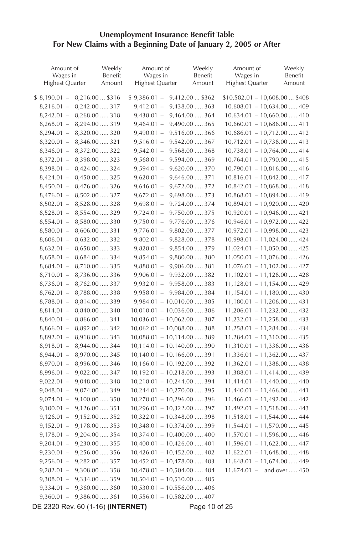#### **Unemployment Insurance Benefit Table For New Claims with a Beginning Date of January 2, 2005 or After**

| Amount of<br>Wages in<br>Highest Quarter | Weekly<br>Benefit<br>Amount | Amount of<br>Wages in<br><b>Highest Quarter</b> |                  | Weekly<br>Benefit<br>Amount | Amount of<br>Wages in<br><b>Highest Quarter</b> | Weekly<br>Benefit<br>Amount |
|------------------------------------------|-----------------------------|-------------------------------------------------|------------------|-----------------------------|-------------------------------------------------|-----------------------------|
| $$8,190.01 - 8,216.00  $316$             |                             | $$9,386.01 -$                                   | $9,412.00$ \$362 |                             | $$10,582.01 - 10,608.00  $408$                  |                             |
| $8,216.01 - 8,242.00 \dots 317$          |                             | $9,412.01 -$                                    | 9,438.00  363    |                             | $10,608.01 - 10,634.00 \ldots$ . 409            |                             |
| $8,242.01 - 8,268.00 \dots 318$          |                             | $9,438.01 -$                                    | 9,464.00  364    |                             | $10,634.01 - 10,660.00 \dots$ 410               |                             |
| $8,268.01 - 8,294.00 \ldots$ 319         |                             | $9,464.01 -$                                    | 9,490.00  365    |                             | $10,660.01 - 10,686.00 \ldots$ . 411            |                             |
| $8,294.01 - 8,320.00 \dots 320$          |                             | $9,490.01 -$                                    | 9,516.00  366    |                             | $10,686.01 - 10,712.00 \ldots 412$              |                             |
| $8,320.01 - 8,346.00 \dots 321$          |                             | $9,516.01 -$                                    | 9,542.00  367    |                             | $10,712.01 - 10,738.00 \ldots$ . 413            |                             |
| $8,346.01 -$                             | 8,372.00  322               | $9,542.01 -$                                    | 9,568.00  368    |                             | $10,738.01 - 10,764.00 \ldots$ . 414            |                             |
| $8,372.01 -$                             | 8,398.00  323               | $9,568.01 -$                                    | 9,594.00  369    |                             | $10,764.01 - 10,790.00 \ldots$ . 415            |                             |
| $8,398.01 -$                             | 8,424.00  324               | $9,594.01 -$                                    | 9,620.00  370    |                             | $10,790.01 - 10,816.00 \ldots 416$              |                             |
| $8,424.01 -$                             | 8,450.00  325               | $9,620.01 -$                                    | 9,646.00  371    |                             | $10,816.01 - 10,842.00 \ldots 417$              |                             |
| $8,450.01 -$                             | 8,476.00  326               | $9,646.01 -$                                    | 9,672.00  372    |                             | $10,842.01 - 10,868.00 \ldots$ . 418            |                             |
| $8,476.01 -$                             | 8,502.00  327               | $9,672.01 -$                                    | 9,698.00  373    |                             | $10,868.01 - 10,894.00 \ldots$ . 419            |                             |
| $8,502.01 -$                             | 8,528.00  328               | $9,698.01 -$                                    | 9,724.00  374    |                             | $10,894.01 - 10,920.00 \dots 420$               |                             |
| $8,528.01 -$                             | 8,554.00  329               | $9,724.01 -$                                    | 9,750.00  375    |                             | $10,920.01 - 10,946.00 \ldots$ . 421            |                             |
| $8,554.01 -$                             | 8,580.00  330               | $9,750.01 -$                                    | 9,776.00  376    |                             | $10,946.01 - 10,972.00 \ldots$ . 422            |                             |
| $8,580.01 -$                             | 8,606.00  331               | $9,776.01 -$                                    | 9,802.00  377    |                             | $10,972.01 - 10,998.00 \dots$ 423               |                             |
| $8,606.01 -$                             | 8,632.00  332               | $9,802.01 - 9,828.00 \dots 378$                 |                  |                             | $10,998.01 - 11,024.00 \ldots$ . 424            |                             |
| $8,632.01 -$                             | 8,658.00  333               | $9,828.01 - 9,854.00 \dots 379$                 |                  |                             | $11,024.01 - 11,050.00 \ldots$ 425              |                             |
| $8,658.01 - 8,684.00 \ldots$ 334         |                             | $9,854.01 - 9,880.00 \dots 380$                 |                  |                             | $11,050.01 - 11,076.00 \ldots$ . 426            |                             |
| $8,684.01 -$                             | 8,710.00  335               | $9,880.01 - 9,906.00 \dots 381$                 |                  |                             | $11,076.01 - 11,102.00 \ldots 427$              |                             |
| $8,710.01 -$                             | 8,736.00  336               | $9,906.01 - 9,932.00 \dots 382$                 |                  |                             | $11,102.01 - 11,128.00 \ldots$ . 428            |                             |
| $8,736.01 -$                             | 8,762.00  337               | $9,932.01 - 9,958.00 \dots 383$                 |                  |                             | $11,128.01 - 11,154.00 \ldots$ . 429            |                             |
| $8,762.01 -$                             | 8,788.00  338               | $9,958.01 - 9,984.00 \dots 384$                 |                  |                             | $11,154.01 - 11,180.00 \ldots$ . 430            |                             |
| $8,788.01 -$                             | 8,814.00  339               | $9,984.01 - 10,010.00 \dots 385$                |                  |                             | $11,180.01 - 11,206.00 \ldots 431$              |                             |
| $8,814.01 -$                             | 8,840.00  340               | $10,010.01 - 10,036.00 \ldots$ 386              |                  |                             | $11,206.01 - 11,232.00 \ldots$ . 432            |                             |
| $8,840.01 -$                             | 8,866.00  341               | $10,036.01 - 10,062.00 \ldots$ 387              |                  |                             | $11,232.01 - 11,258.00 \ldots$ . 433            |                             |
| $8,866.01 -$                             | 8,892.00  342               | $10,062.01 - 10,088.00 \ldots$ 388              |                  |                             | $11,258.01 - 11,284.00 \ldots$ . 434            |                             |
| $8,892.01 -$                             | 8,918.00  343               | $10,088.01 - 10,114.00 \ldots$ 389              |                  |                             | $11,284.01 - 11,310.00 \ldots$ 435              |                             |
| $8,918.01 -$                             | 8,944.00  344               | $10,114.01 - 10,140.00 \ldots$ 390              |                  |                             | $11,310.01 - 11,336.00 \ldots$ 436              |                             |
| $8,944.01 -$                             | 8,970.00  345               | $10,140.01 - 10,166.00 \ldots$ 391              |                  |                             | $11,336.01 - 11,362.00 \ldots$ . 437            |                             |
| $8,970.01 -$                             | 8,996.00  346               | $10,166.01 - 10,192.00 \ldots$ 392              |                  |                             | $11,362.01 - 11,388.00 \ldots$ . 438            |                             |
| $8,996.01 -$                             | 9,022.00  347               | $10,192.01 - 10,218.00 \ldots$ 393              |                  |                             | $11,388.01 - 11,414.00 \ldots$ 439              |                             |
| $9,022.01 -$                             | 9,048.00  348               | $10,218.01 - 10,244.00 \ldots$ 394              |                  |                             | $11,414.01 - 11,440.00 \ldots$ . 440            |                             |
| $9,048.01 -$                             | 9,074.00  349               | $10,244.01 - 10,270.00 \ldots$ 395              |                  |                             | $11,440.01 - 11,466.00 \ldots$ . 441            |                             |
| $9,074.01 -$                             | 9,100.00  350               | $10,270.01 - 10,296.00 \ldots$ 396              |                  |                             | $11,466.01 - 11,492.00 \ldots$ . 442            |                             |
| $9,100.01 -$                             | 9,126.00  351               | $10,296.01 - 10,322.00 \ldots$ 397              |                  |                             | $11,492.01 - 11,518.00 \ldots$ . 443            |                             |
| $9,126.01 -$                             | 9,152.00  352               | $10,322.01 - 10,348.00 \ldots$ 398              |                  |                             | $11,518.01 - 11,544.00 \ldots$ . 444            |                             |
| $9,152.01 -$                             | $9,178.00\,\ldots\!,\,353$  | $10,348.01 - 10,374.00 \ldots$ 399              |                  |                             | $11,544.01 - 11,570.00 \ldots 445$              |                             |
| $9,178.01 -$                             | 9,204.00  354               | $10,374.01 - 10,400.00 \ldots$ . 400            |                  |                             | $11,570.01 - 11,596.00 \ldots$ . 446            |                             |
| $9,204.01 -$                             | $9,230.00 \dots 355$        | $10,400.01 - 10,426.00 \ldots 401$              |                  |                             | $11,596.01 - 11,622.00 \ldots$ . 447            |                             |
| $9,230.01 -$                             | $9,256.00 \dots 356$        | $10,426.01 - 10,452.00 \ldots$ . 402            |                  |                             | $11,622.01 - 11,648.00 \ldots$ . 448            |                             |
| $9,256.01 -$                             | 9,282.00  357               | $10,452.01 - 10,478.00 \ldots$ . 403            |                  |                             | $11,648.01 - 11,674.00 \ldots$ . 449            |                             |
| $9,282.01 -$                             | 9,308.00  358               | $10,478.01 - 10,504.00 \ldots$ . 404            |                  |                             | $11,674.01 -$ and over  450                     |                             |
| $9,308.01 -$                             | 9,334.00  359               | $10,504.01 - 10,530.00 \ldots$ . 405            |                  |                             |                                                 |                             |
| $9,334.01 -$                             | 9,360.00  360               | $10,530.01 - 10,556.00 \ldots$ . 406            |                  |                             |                                                 |                             |
| $9,360.01 -$                             | 9,386.00  361               | $10,556.01 - 10,582.00 \ldots$ . 407            |                  |                             |                                                 |                             |

DE 2320 Rev. 60 (1-16) **(INTERNET)** Page 10 of 25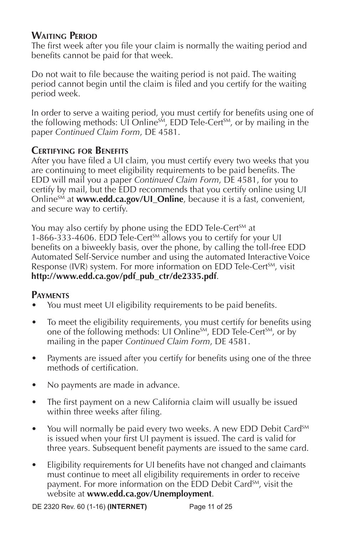#### **Waiting Period**

The first week after you file your claim is normally the waiting period and benefits cannot be paid for that week.

Do not wait to file because the waiting period is not paid. The waiting period cannot begin until the claim is filed and you certify for the waiting period week.

In order to serve a waiting period, you must certify for benefits using one of the following methods:  $\overline{UI}$  Online<sup>sM</sup>, EDD Tele-Cert<sup>SM</sup>, or by mailing in the paper *Continued Claim Form*, DE 4581.

### **Certifying for Benefits**

After you have filed a UI claim, you must certify every two weeks that you are continuing to meet eligibility requirements to be paid benefits. The EDD will mail you a paper *Continued Claim Form*, DE 4581, for you to certify by mail, but the EDD recommends that you certify online using UI Online<sup>SM</sup> at **www.edd.ca.gov/UI\_Online**, because it is a fast, convenient, and secure way to certify.

You may also certify by phone using the EDD Tele-Cert<sup>SM</sup> at 1-866-333-4606. EDD Tele-Cert<sup>SM</sup> allows you to certify for your UI benefits on a biweekly basis, over the phone, by calling the toll-free EDD Automated Self-Service number and using the automated Interactive Voice Response (IVR) system. For more information on EDD Tele-Cert<sup>SM</sup>, visit **http://www.edd.ca.gov/pdf\_pub\_ctr/de2335.pdf**.

### **Payments**

- You must meet UI eligibility requirements to be paid benefits.
- To meet the eligibility requirements, you must certify for benefits using one of the following methods: UI Online<sup>SM</sup>, EDD Tele-Cert<sup>SM</sup>, or by mailing in the paper *Continued Claim Form*, DE 4581.
- Payments are issued after you certify for benefits using one of the three methods of certification.
- No payments are made in advance.
- The first payment on a new California claim will usually be issued within three weeks after filing.
- You will normally be paid every two weeks. A new EDD Debit Card<sup>SM</sup> is issued when your first UI payment is issued. The card is valid for three years. Subsequent benefit payments are issued to the same card.
- Eligibility requirements for UI benefits have not changed and claimants must continue to meet all eligibility requirements in order to receive payment. For more information on the EDD Debit Card<sup>SM</sup>, visit the website at **www.edd.ca.gov/Unemployment**.

DE 2320 Rev. 60 (1-16) **(INTERNET)** Page 11 of 25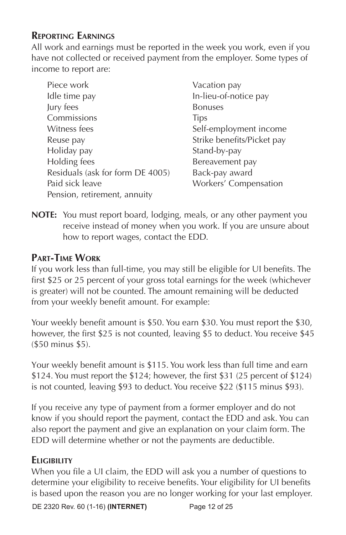### **Reporting Earnings**

All work and earnings must be reported in the week you work, even if you have not collected or received payment from the employer. Some types of income to report are:

Piece work **Vacation** pay Idle time pay **In-lieu-of-notice pay** Jury fees Bonuses Commissions Tips Witness fees Self-employment income Reuse pay **Strike benefits/Picket pay** Holiday pay **Stand-by-pay** Holding fees Bereavement pay Residuals (ask for form DE 4005) Back-pay award Paid sick leave Workers' Compensation Pension, retirement, annuity

**NOTE:** You must report board, lodging, meals, or any other payment you receive instead of money when you work. If you are unsure about how to report wages, contact the EDD.

### **Part-Time Work**

If you work less than full-time, you may still be eligible for UI benefits. The first \$25 or 25 percent of your gross total earnings for the week (whichever is greater) will not be counted. The amount remaining will be deducted from your weekly benefit amount. For example:

Your weekly benefit amount is \$50. You earn \$30. You must report the \$30, however, the first \$25 is not counted, leaving \$5 to deduct. You receive \$45 (\$50 minus \$5).

Your weekly benefit amount is \$115. You work less than full time and earn \$124. You must report the \$124; however, the first \$31 (25 percent of \$124) is not counted, leaving \$93 to deduct. You receive \$22 (\$115 minus \$93).

If you receive any type of payment from a former employer and do not know if you should report the payment, contact the EDD and ask. You can also report the payment and give an explanation on your claim form. The EDD will determine whether or not the payments are deductible.

### **Eligibility**

When you file a UI claim, the EDD will ask you a number of questions to determine your eligibility to receive benefits. Your eligibility for UI benefits is based upon the reason you are no longer working for your last employer.

DE 2320 Rev. 60 (1-16) **(INTERNET)** Page 12 of 25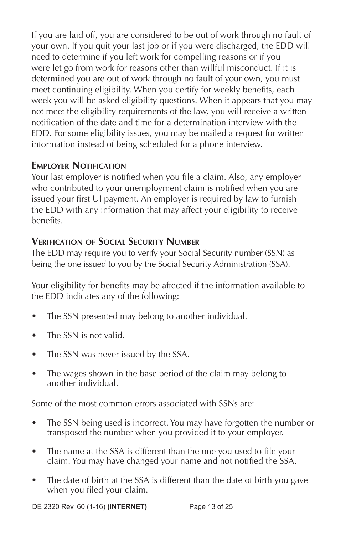If you are laid off, you are considered to be out of work through no fault of your own. If you quit your last job or if you were discharged, the EDD will need to determine if you left work for compelling reasons or if you were let go from work for reasons other than willful misconduct. If it is determined you are out of work through no fault of your own, you must meet continuing eligibility. When you certify for weekly benefits, each week you will be asked eligibility questions. When it appears that you may not meet the eligibility requirements of the law, you will receive a written notification of the date and time for a determination interview with the EDD. For some eligibility issues, you may be mailed a request for written information instead of being scheduled for a phone interview.

### **Employer Notification**

Your last employer is notified when you file a claim. Also, any employer who contributed to your unemployment claim is notified when you are issued your first UI payment. An employer is required by law to furnish the EDD with any information that may affect your eligibility to receive benefits.

### **Verification of Social Security Number**

The EDD may require you to verify your Social Security number (SSN) as being the one issued to you by the Social Security Administration (SSA).

Your eligibility for benefits may be affected if the information available to the EDD indicates any of the following:

- The SSN presented may belong to another individual.
- The SSN is not valid.
- The SSN was never issued by the SSA.
- The wages shown in the base period of the claim may belong to another individual.

Some of the most common errors associated with SSNs are:

- The SSN being used is incorrect. You may have forgotten the number or transposed the number when you provided it to your employer.
- The name at the SSA is different than the one you used to file your claim. You may have changed your name and not notified the SSA.
- The date of birth at the SSA is different than the date of birth you gave when you filed your claim.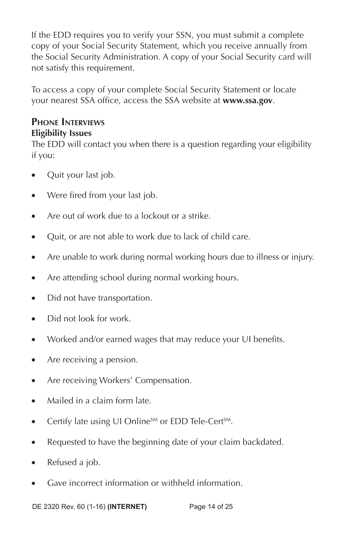If the EDD requires you to verify your SSN, you must submit a complete copy of your Social Security Statement, which you receive annually from the Social Security Administration. A copy of your Social Security card will not satisfy this requirement.

To access a copy of your complete Social Security Statement or locate your nearest SSA office, access the SSA website at **www.ssa.gov**.

#### **Phone Interviews Eligibility Issues**

The EDD will contact you when there is a question regarding your eligibility if you:

- Quit your last job.
- Were fired from your last job.
- Are out of work due to a lockout or a strike.
- Quit, or are not able to work due to lack of child care.
- Are unable to work during normal working hours due to illness or injury.
- Are attending school during normal working hours.
- Did not have transportation.
- Did not look for work.
- Worked and/or earned wages that may reduce your UI benefits.
- Are receiving a pension.
- Are receiving Workers' Compensation.
- Mailed in a claim form late.
- Certify late using UI Online<sup>SM</sup> or EDD Tele-Cert<sup>SM</sup>.
- Requested to have the beginning date of your claim backdated.
- Refused a job.
- Gave incorrect information or withheld information.

DE 2320 Rev. 60 (1-16) **(INTERNET)** Page 14 of 25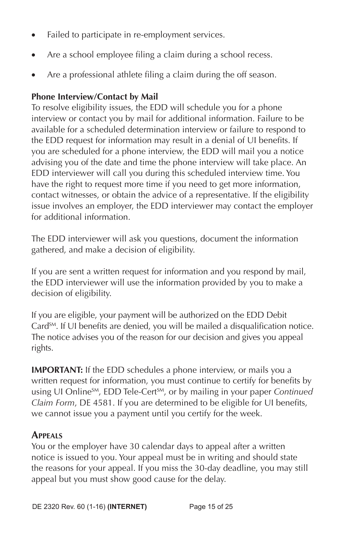- Failed to participate in re-employment services.
- Are a school employee filing a claim during a school recess.
- Are a professional athlete filing a claim during the off season.

### **Phone Interview/Contact by Mail**

To resolve eligibility issues, the EDD will schedule you for a phone interview or contact you by mail for additional information. Failure to be available for a scheduled determination interview or failure to respond to the EDD request for information may result in a denial of UI benefits. If you are scheduled for a phone interview, the EDD will mail you a notice advising you of the date and time the phone interview will take place. An EDD interviewer will call you during this scheduled interview time. You have the right to request more time if you need to get more information, contact witnesses, or obtain the advice of a representative. If the eligibility issue involves an employer, the EDD interviewer may contact the employer for additional information.

The EDD interviewer will ask you questions, document the information gathered, and make a decision of eligibility.

If you are sent a written request for information and you respond by mail, the EDD interviewer will use the information provided by you to make a decision of eligibility.

If you are eligible, your payment will be authorized on the EDD Debit Card<sup>SM</sup>. If UI benefits are denied, you will be mailed a disqualification notice. The notice advises you of the reason for our decision and gives you appeal rights.

**IMPORTANT:** If the EDD schedules a phone interview, or mails you a written request for information, you must continue to certify for benefits by using UI Online<sup>SM</sup>, EDD Tele-Cert<sup>SM</sup>, or by mailing in your paper *Continued Claim Form*, DE 4581. If you are determined to be eligible for UI benefits, we cannot issue you a payment until you certify for the week.

### **Appeals**

You or the employer have 30 calendar days to appeal after a written notice is issued to you. Your appeal must be in writing and should state the reasons for your appeal. If you miss the 30-day deadline, you may still appeal but you must show good cause for the delay.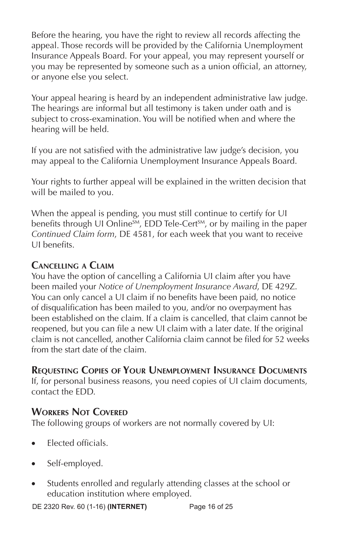Before the hearing, you have the right to review all records affecting the appeal. Those records will be provided by the California Unemployment Insurance Appeals Board. For your appeal, you may represent yourself or you may be represented by someone such as a union official, an attorney, or anyone else you select.

Your appeal hearing is heard by an independent administrative law judge. The hearings are informal but all testimony is taken under oath and is subject to cross-examination. You will be notified when and where the hearing will be held.

If you are not satisfied with the administrative law judge's decision, you may appeal to the California Unemployment Insurance Appeals Board.

Your rights to further appeal will be explained in the written decision that will be mailed to you.

When the appeal is pending, you must still continue to certify for UI benefits through UI Online<sup>SM</sup>, EDD Tele-Cert<sup>SM</sup>, or by mailing in the paper *Continued Claim form*, DE 4581, for each week that you want to receive UI benefits.

### **Cancelling a Claim**

You have the option of cancelling a California UI claim after you have been mailed your *Notice of Unemployment Insurance Award*, DE 429Z. You can only cancel a UI claim if no benefits have been paid, no notice of disqualification has been mailed to you, and/or no overpayment has been established on the claim. If a claim is cancelled, that claim cannot be reopened, but you can file a new UI claim with a later date. If the original claim is not cancelled, another California claim cannot be filed for 52 weeks from the start date of the claim.

### **Requesting Copies of Your Unemployment Insurance Documents**

If, for personal business reasons, you need copies of UI claim documents, contact the EDD.

### **Workers Not Covered**

The following groups of workers are not normally covered by UI:

- Elected officials.
- Self-employed.
- Students enrolled and regularly attending classes at the school or education institution where employed.

DE 2320 Rev. 60 (1-16) **(INTERNET)** Page 16 of 25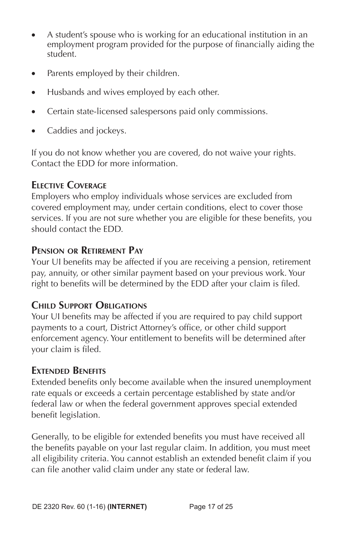- A student's spouse who is working for an educational institution in an employment program provided for the purpose of financially aiding the student.
- Parents employed by their children.
- Husbands and wives employed by each other.
- Certain state-licensed salespersons paid only commissions.
- Caddies and jockeys.

If you do not know whether you are covered, do not waive your rights. Contact the EDD for more information.

### **Elective Coverage**

Employers who employ individuals whose services are excluded from covered employment may, under certain conditions, elect to cover those services. If you are not sure whether you are eligible for these benefits, you should contact the EDD.

### **Pension or Retirement Pay**

Your UI benefits may be affected if you are receiving a pension, retirement pay, annuity, or other similar payment based on your previous work. Your right to benefits will be determined by the EDD after your claim is filed.

#### **Child Support Obligations**

Your UI benefits may be affected if you are required to pay child support payments to a court, District Attorney's office, or other child support enforcement agency. Your entitlement to benefits will be determined after your claim is filed.

#### **Extended Benefits**

Extended benefits only become available when the insured unemployment rate equals or exceeds a certain percentage established by state and/or federal law or when the federal government approves special extended benefit legislation.

Generally, to be eligible for extended benefits you must have received all the benefits payable on your last regular claim. In addition, you must meet all eligibility criteria. You cannot establish an extended benefit claim if you can file another valid claim under any state or federal law.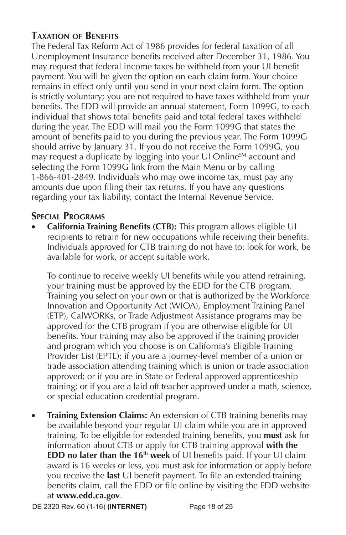### **Taxation of Benefits**

The Federal Tax Reform Act of 1986 provides for federal taxation of all Unemployment Insurance benefits received after December 31, 1986. You may request that federal income taxes be withheld from your UI benefit payment. You will be given the option on each claim form. Your choice remains in effect only until you send in your next claim form. The option is strictly voluntary; you are not required to have taxes withheld from your benefits. The EDD will provide an annual statement, Form 1099G, to each individual that shows total benefits paid and total federal taxes withheld during the year. The EDD will mail you the Form 1099G that states the amount of benefits paid to you during the previous year. The Form 1099G should arrive by January 31. If you do not receive the Form 1099G, you may request a duplicate by logging into your UI Online<sup>SM</sup> account and selecting the Form 1099G link from the Main Menu or by calling 1-866-401-2849. Individuals who may owe income tax, must pay any amounts due upon filing their tax returns. If you have any questions regarding your tax liability, contact the Internal Revenue Service.

#### **Special Programs**

• **California Training Benefits (CTB):** This program allows eligible UI recipients to retrain for new occupations while receiving their benefits. Individuals approved for CTB training do not have to: look for work, be available for work, or accept suitable work.

To continue to receive weekly UI benefits while you attend retraining, your training must be approved by the EDD for the CTB program. Training you select on your own or that is authorized by the Workforce Innovation and Opportunity Act (WIOA), Employment Training Panel (ETP), CalWORKs, or Trade Adjustment Assistance programs may be approved for the CTB program if you are otherwise eligible for UI benefits. Your training may also be approved if the training provider and program which you choose is on California's Eligible Training Provider List (EPTL); if you are a journey-level member of a union or trade association attending training which is union or trade association approved; or if you are in State or Federal approved apprenticeship training; or if you are a laid off teacher approved under a math, science, or special education credential program.

**Training Extension Claims:** An extension of CTB training benefits may be available beyond your regular UI claim while you are in approved training. To be eligible for extended training benefits, you **must** ask for information about CTB or apply for CTB training approval **with the EDD no later than the 16<sup>th</sup> week** of UI benefits paid. If your UI claim award is 16 weeks or less, you must ask for information or apply before you receive the **last** UI benefit payment. To file an extended training benefits claim, call the EDD or file online by visiting the EDD website at **www.edd.ca.gov**.

DE 2320 Rev. 60 (1-16) **(INTERNET)** Page 18 of 25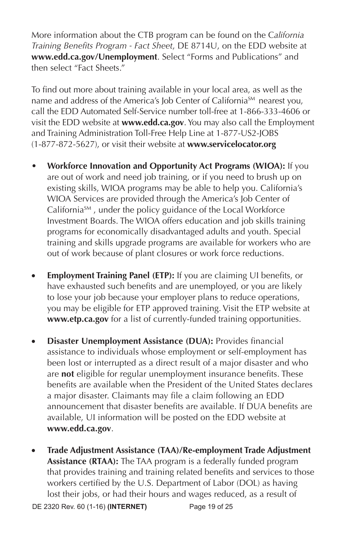More information about the CTB program can be found on the C*alifornia Training Benefits Program - Fact Sheet*, DE 8714U, on the EDD website at **www.edd.ca.gov/Unemployment**. Select "Forms and Publications" and then select "Fact Sheets."

To find out more about training available in your local area, as well as the name and address of the America's Job Center of California<sup>SM</sup> nearest vou, call the EDD Automated Self-Service number toll-free at 1-866-333-4606 or visit the EDD website at **www.edd.ca.gov**. You may also call the Employment and Training Administration Toll-Free Help Line at 1-877-US2-JOBS (1-877-872-5627), or visit their website at **www.servicelocator.org**

- **Workforce Innovation and Opportunity Act Programs (WIOA):** If you are out of work and need job training, or if you need to brush up on existing skills, WIOA programs may be able to help you. California's WIOA Services are provided through the America's Job Center of California<sup>SM</sup>, under the policy guidance of the Local Workforce Investment Boards. The WIOA offers education and job skills training programs for economically disadvantaged adults and youth. Special training and skills upgrade programs are available for workers who are out of work because of plant closures or work force reductions.
- **Employment Training Panel (ETP):** If you are claiming UI benefits, or have exhausted such benefits and are unemployed, or you are likely to lose your job because your employer plans to reduce operations, you may be eligible for ETP approved training. Visit the ETP website at **www.etp.ca.gov** for a list of currently-funded training opportunities.
- **Disaster Unemployment Assistance (DUA):** Provides financial assistance to individuals whose employment or self-employment has been lost or interrupted as a direct result of a major disaster and who are **not** eligible for regular unemployment insurance benefits. These benefits are available when the President of the United States declares a major disaster. Claimants may file a claim following an EDD announcement that disaster benefits are available. If DUA benefits are available, UI information will be posted on the EDD website at **www.edd.ca.gov**.
- DE 2320 Rev. 60 (1-16) **(INTERNET)** Page 19 of 25 • **Trade Adjustment Assistance (TAA)/Re-employment Trade Adjustment Assistance (RTAA):** The TAA program is a federally funded program that provides training and training related benefits and services to those workers certified by the U.S. Department of Labor (DOL) as having lost their jobs, or had their hours and wages reduced, as a result of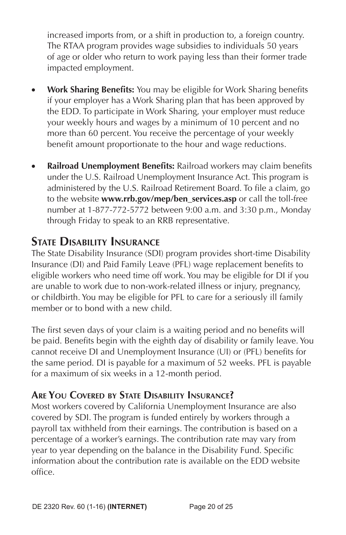increased imports from, or a shift in production to, a foreign country. The RTAA program provides wage subsidies to individuals 50 years of age or older who return to work paying less than their former trade impacted employment.

- **Work Sharing Benefits:** You may be eligible for Work Sharing benefits if your employer has a Work Sharing plan that has been approved by the EDD. To participate in Work Sharing, your employer must reduce your weekly hours and wages by a minimum of 10 percent and no more than 60 percent. You receive the percentage of your weekly benefit amount proportionate to the hour and wage reductions.
- **Railroad Unemployment Benefits:** Railroad workers may claim benefits under the U.S. Railroad Unemployment Insurance Act. This program is administered by the U.S. Railroad Retirement Board. To file a claim, go to the website **www.rrb.gov/mep/ben\_services.asp** or call the toll-free number at 1-877-772-5772 between 9:00 a.m. and 3:30 p.m., Monday through Friday to speak to an RRB representative.

# **State Disability Insurance**

The State Disability Insurance (SDI) program provides short-time Disability Insurance (DI) and Paid Family Leave (PFL) wage replacement benefits to eligible workers who need time off work. You may be eligible for DI if you are unable to work due to non-work-related illness or injury, pregnancy, or childbirth. You may be eligible for PFL to care for a seriously ill family member or to bond with a new child.

The first seven days of your claim is a waiting period and no benefits will be paid. Benefits begin with the eighth day of disability or family leave. You cannot receive DI and Unemployment Insurance (UI) or (PFL) benefits for the same period. DI is payable for a maximum of 52 weeks. PFL is payable for a maximum of six weeks in a 12-month period.

### **Are You Covered by State Disability Insurance?**

Most workers covered by California Unemployment Insurance are also covered by SDI. The program is funded entirely by workers through a payroll tax withheld from their earnings. The contribution is based on a percentage of a worker's earnings. The contribution rate may vary from year to year depending on the balance in the Disability Fund. Specific information about the contribution rate is available on the EDD website office.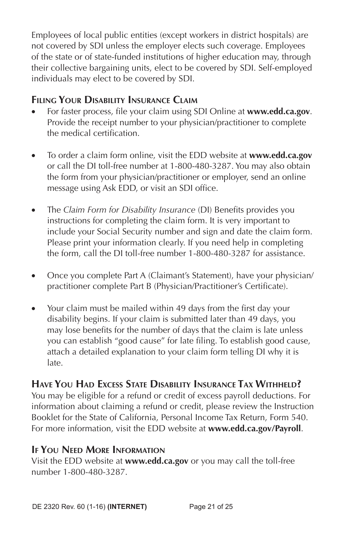Employees of local public entities (except workers in district hospitals) are not covered by SDI unless the employer elects such coverage. Employees of the state or of state-funded institutions of higher education may, through their collective bargaining units, elect to be covered by SDI. Self-employed individuals may elect to be covered by SDI.

### **Filing Your Disability Insurance Claim**

- For faster process, file your claim using SDI Online at **www.edd.ca.gov**. Provide the receipt number to your physician/practitioner to complete the medical certification.
- To order a claim form online, visit the EDD website at **www.edd.ca.gov** or call the DI toll-free number at 1-800-480-3287. You may also obtain the form from your physician/practitioner or employer, send an online message using Ask EDD, or visit an SDI office.
- The *Claim Form for Disability Insurance* (DI) Benefits provides you instructions for completing the claim form. It is very important to include your Social Security number and sign and date the claim form. Please print your information clearly. If you need help in completing the form, call the DI toll-free number 1-800-480-3287 for assistance.
- Once you complete Part A (Claimant's Statement), have your physician/ practitioner complete Part B (Physician/Practitioner's Certificate).
- Your claim must be mailed within 49 days from the first day your disability begins. If your claim is submitted later than 49 days, you may lose benefits for the number of days that the claim is late unless you can establish "good cause" for late filing. To establish good cause, attach a detailed explanation to your claim form telling DI why it is late.

### **Have You Had Excess State Disability Insurance Tax Withheld?**

You may be eligible for a refund or credit of excess payroll deductions. For information about claiming a refund or credit, please review the Instruction Booklet for the State of California, Personal Income Tax Return, Form 540. For more information, visit the EDD website at **www.edd.ca.gov/Payroll**.

#### **If You Need More Information**

Visit the EDD website at **www.edd.ca.gov** or you may call the toll-free number 1-800-480-3287.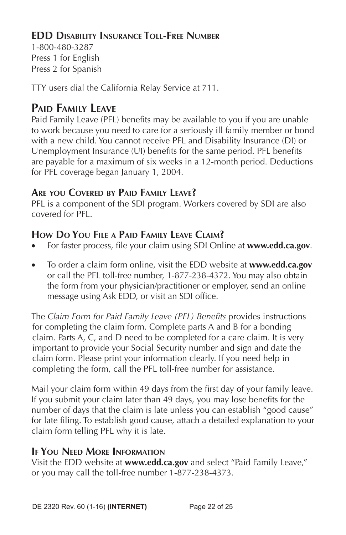### **EDD Disability Insurance Toll-Free Number**

1-800-480-3287 Press 1 for English Press 2 for Spanish

TTY users dial the California Relay Service at 711.

# **Paid Family Leave**

Paid Family Leave (PFL) benefits may be available to you if you are unable to work because you need to care for a seriously ill family member or bond with a new child. You cannot receive PFL and Disability Insurance (DI) or Unemployment Insurance (UI) benefits for the same period. PFL benefits are payable for a maximum of six weeks in a 12-month period. Deductions for PFL coverage began January 1, 2004.

### **Are you Covered by Paid Family Leave?**

PFL is a component of the SDI program. Workers covered by SDI are also covered for PFL.

# **How Do You File a Paid Family Leave Claim?**

- For faster process, file your claim using SDI Online at **www.edd.ca.gov**.
- To order a claim form online, visit the EDD website at **www.edd.ca.gov** or call the PFL toll-free number, 1-877-238-4372. You may also obtain the form from your physician/practitioner or employer, send an online message using Ask EDD, or visit an SDI office.

The *Claim Form for Paid Family Leave (PFL) Benefits* provides instructions for completing the claim form. Complete parts A and B for a bonding claim. Parts A, C, and D need to be completed for a care claim. It is very important to provide your Social Security number and sign and date the claim form. Please print your information clearly. If you need help in completing the form, call the PFL toll-free number for assistance*.*

Mail your claim form within 49 days from the first day of your family leave. If you submit your claim later than 49 days, you may lose benefits for the number of days that the claim is late unless you can establish "good cause" for late filing. To establish good cause, attach a detailed explanation to your claim form telling PFL why it is late.

### **If You Need More Information**

Visit the EDD website at **www.edd.ca.gov** and select "Paid Family Leave," or you may call the toll-free number 1-877-238-4373.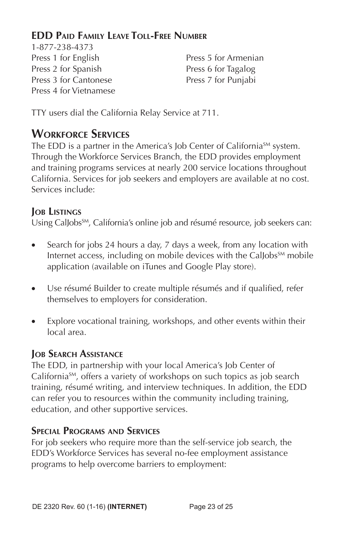### **EDD Paid Family Leave Toll-Free Number**

1-877-238-4373 Press 1 for English Press 5 for Armenian Press 2 for Spanish Press 6 for Tagalog Press 3 for Cantonese Press 7 for Punjabi Press 4 for Vietnamese

TTY users dial the California Relay Service at 711.

# **Workforce Services**

The EDD is a partner in the America's Job Center of California<sup>SM</sup> system. Through the Workforce Services Branch, the EDD provides employment and training programs services at nearly 200 service locations throughout California. Services for job seekers and employers are available at no cost. Services include:

### **Job Listings**

Using CalJobs<sup>SM</sup>, California's online job and résumé resource, job seekers can:

- Search for jobs 24 hours a day, 7 days a week, from any location with Internet access, including on mobile devices with the Callobs<sup>SM</sup> mobile application (available on iTunes and Google Play store).
- Use résumé Builder to create multiple résumés and if qualified, refer themselves to employers for consideration.
- Explore vocational training, workshops, and other events within their local area.

### **Job Search Assistance**

The EDD, in partnership with your local America's Job Center of California<sup>SM</sup>, offers a variety of workshops on such topics as job search training, résumé writing, and interview techniques. In addition, the EDD can refer you to resources within the community including training, education, and other supportive services.

### **Special Programs and Services**

For job seekers who require more than the self-service job search, the EDD's Workforce Services has several no-fee employment assistance programs to help overcome barriers to employment: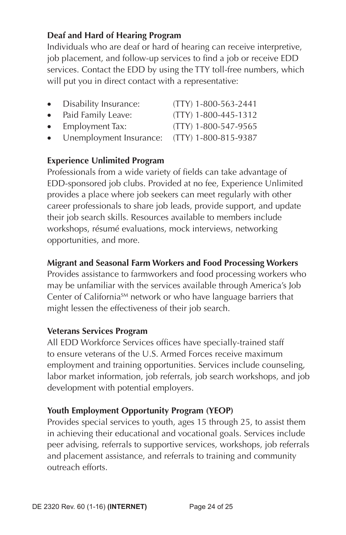#### **Deaf and Hard of Hearing Program**

Individuals who are deaf or hard of hearing can receive interpretive, job placement, and follow-up services to find a job or receive EDD services. Contact the EDD by using the TTY toll-free numbers, which will put you in direct contact with a representative:

- Disability Insurance: (TTY) 1-800-563-2441
- Paid Family Leave: (TTY) 1-800-445-1312
- Employment Tax: (TTY) 1-800-547-9565
- Unemployment Insurance: (TTY) 1-800-815-9387

#### **Experience Unlimited Program**

Professionals from a wide variety of fields can take advantage of EDD-sponsored job clubs. Provided at no fee, Experience Unlimited provides a place where job seekers can meet regularly with other career professionals to share job leads, provide support, and update their job search skills. Resources available to members include workshops, résumé evaluations, mock interviews, networking opportunities, and more.

#### **Migrant and Seasonal Farm Workers and Food Processing Workers**

Provides assistance to farmworkers and food processing workers who may be unfamiliar with the services available through America's Job Center of California<sup>SM</sup> network or who have language barriers that might lessen the effectiveness of their job search.

#### **Veterans Services Program**

All EDD Workforce Services offices have specially-trained staff to ensure veterans of the U.S. Armed Forces receive maximum employment and training opportunities. Services include counseling, labor market information, job referrals, job search workshops, and job development with potential employers.

#### **Youth Employment Opportunity Program (YEOP)**

Provides special services to youth, ages 15 through 25, to assist them in achieving their educational and vocational goals. Services include peer advising, referrals to supportive services, workshops, job referrals and placement assistance, and referrals to training and community outreach efforts.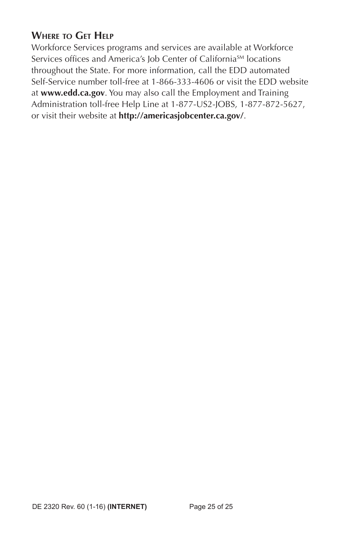### **Where to Get Help**

Workforce Services programs and services are available at Workforce Services offices and America's Job Center of California<sup>SM</sup> locations throughout the State. For more information, call the EDD automated Self-Service number toll-free at 1-866-333-4606 or visit the EDD website at **www.edd.ca.gov**. You may also call the Employment and Training Administration toll-free Help Line at 1-877-US2-JOBS, 1-877-872-5627, or visit their website at **http://americasjobcenter.ca.gov/**.